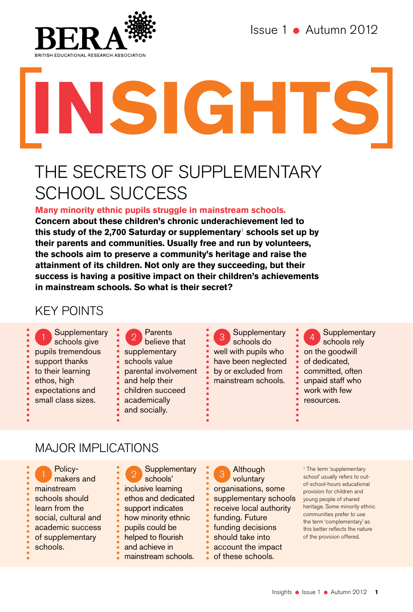

Issue 1 Autumn 2012

# **Insights**

# THE SECRETS OF SUPPLEMENTARY SCHOOL SUCCESS

**Many minority ethnic pupils struggle in mainstream schools.** 

**Concern about these children's chronic underachievement led to this study of the 2,700 Saturday or supplementary**1 **schools set up by their parents and communities. Usually free and run by volunteers, the schools aim to preserve a community's heritage and raise the attainment of its children. Not only are they succeeding, but their success is having a positive impact on their children's achievements in mainstream schools. So what is their secret?** 

# KEY POINTS

Supplementary schools give pupils tremendous support thanks to their learning ethos, high expectations and small class sizes.

Parents believe that supplementary schools value parental involvement and help their children succeed academically

and socially.

**Supplementary** schools do well with pupils who have been neglected by or excluded from mainstream schools.

**Supplementary** schools rely on the goodwill of dedicated, committed, often unpaid staff who work with few resources.

# MAJOR IMPLICATIONS

makers and mainstream schools should learn from the social, cultural and academic success of supplementary schools.

1 Policy-<br>
1 makers and<br>
1 schools' schools'

- inclusive learning
- ethos and dedicated
- support indicates
- how minority ethnic
- pupils could be
- helped to flourish
- and achieve in
- **mainstream schools.**

**Although** voluntary organisations, some supplementary schools receive local authority funding. Future funding decisions should take into account the impact of these schools.

<sup>1</sup> The term 'supplementary school' usually refers to outof-school-hours educational provision for children and young people of shared heritage. Some minority ethnic communities prefer to use the term 'complementary' as this better reflects the nature of the provision offered.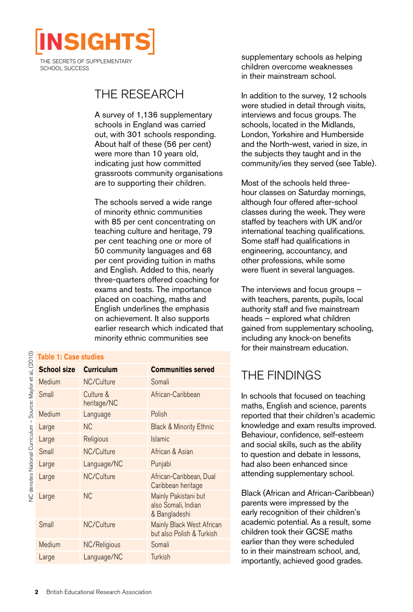

SCHOOL SUCCESS

# The research

A survey of 1,136 supplementary schools in England was carried out, with 301 schools responding. About half of these (56 per cent) were more than 10 years old, indicating just how committed grassroots community organisations are to supporting their children.

The schools served a wide range of minority ethnic communities with 85 per cent concentrating on teaching culture and heritage, 79 per cent teaching one or more of 50 community languages and 68 per cent providing tuition in maths and English. Added to this, nearly three-quarters offered coaching for exams and tests. The importance placed on coaching, maths and English underlines the emphasis on achievement. It also supports earlier research which indicated that minority ethnic communities see

supplementary schools as helping children overcome weaknesses in their mainstream school.

In addition to the survey, 12 schools were studied in detail through visits, interviews and focus groups. The schools, located in the Midlands, London, Yorkshire and Humberside and the North-west, varied in size, in the subjects they taught and in the community/ies they served (see Table).

Most of the schools held threehour classes on Saturday mornings, although four offered after-school classes during the week. They were staffed by teachers with UK and/or international teaching qualifications. Some staff had qualifications in engineering, accountancy, and other professions, while some were fluent in several languages.

The interviews and focus groups – with teachers, parents, pupils, local authority staff and five mainstream heads – explored what children gained from supplementary schooling, including any knock-on benefits for their mainstream education.

# The findings

In schools that focused on teaching maths, English and science, parents reported that their children's academic knowledge and exam results improved. Behaviour, confidence, self-esteem and social skills, such as the ability to question and debate in lessons, had also been enhanced since attending supplementary school.

Black (African and African-Caribbean) parents were impressed by the early recognition of their children's academic potential. As a result, some children took their GCSE maths earlier than they were scheduled to in their mainstream school, and, importantly, achieved good grades.

÷  $\frac{C}{2}$ 

|                                                                                        | <b>Table 1: Case studies</b> |                          |                                                              |
|----------------------------------------------------------------------------------------|------------------------------|--------------------------|--------------------------------------------------------------|
| y<br>E                                                                                 | <b>School size</b>           | <b>Curriculum</b>        | <b>Communities served</b>                                    |
| bi Dirayuu<br>;<br>>><br>>>                                                            | Medium                       | NC/Culture               | Somali                                                       |
|                                                                                        | Small                        | Culture &<br>heritage/NC | African-Caribbean                                            |
|                                                                                        | Medium                       | Language                 | Polish                                                       |
| <br> <br> <br> <br> <br> <br> <br> <br><b>DESERVED TWO TO THE STREET OF THE STREET</b> | Large                        | NС                       | <b>Black &amp; Minority Ethnic</b>                           |
|                                                                                        | Large                        | Religious                | <b>Islamic</b>                                               |
|                                                                                        | Small                        | NC/Culture               | African & Asian                                              |
|                                                                                        | Large                        | Language/NC              | Punjabi                                                      |
|                                                                                        | Large                        | NC/Culture               | African-Caribbean, Dual<br>Caribbean heritage                |
|                                                                                        | Large                        | <b>NC</b>                | Mainly Pakistani but<br>also Somali, Indian<br>& Bangladeshi |
|                                                                                        | Small                        | NC/Culture               | Mainly Black West African<br>but also Polish & Turkish       |
|                                                                                        | Medium                       | NC/Religious             | Somali                                                       |
|                                                                                        | Large                        | Language/NC              | <b>Turkish</b>                                               |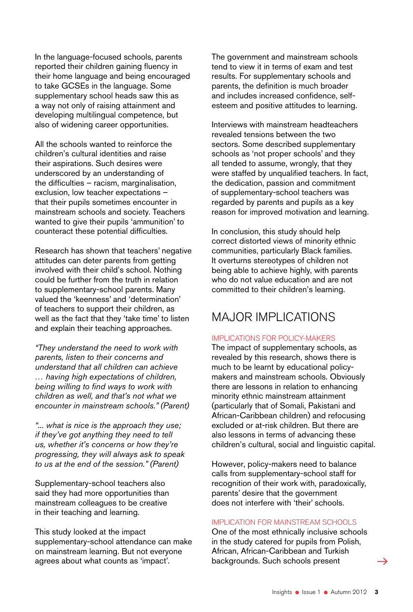In the language-focused schools, parents reported their children gaining fluency in their home language and being encouraged to take GCSEs in the language. Some supplementary school heads saw this as a way not only of raising attainment and developing multilingual competence, but also of widening career opportunities.

All the schools wanted to reinforce the children's cultural identities and raise their aspirations. Such desires were underscored by an understanding of the difficulties – racism, marginalisation, exclusion, low teacher expectations – that their pupils sometimes encounter in mainstream schools and society. Teachers wanted to give their pupils 'ammunition' to counteract these potential difficulties.

Research has shown that teachers' negative attitudes can deter parents from getting involved with their child's school. Nothing could be further from the truth in relation to supplementary-school parents. Many valued the 'keenness' and 'determination' of teachers to support their children, as well as the fact that they 'take time' to listen and explain their teaching approaches.

*"They understand the need to work with parents, listen to their concerns and understand that all children can achieve … having high expectations of children, being willing to find ways to work with children as well, and that's not what we encounter in mainstream schools." (Parent)*

*"... what is nice is the approach they use; if they've got anything they need to tell us, whether it's concerns or how they're progressing, they will always ask to speak to us at the end of the session." (Parent)*

Supplementary-school teachers also said they had more opportunities than mainstream colleagues to be creative in their teaching and learning.

This study looked at the impact supplementary-school attendance can make on mainstream learning. But not everyone agrees about what counts as 'impact'.

The government and mainstream schools tend to view it in terms of exam and test results. For supplementary schools and parents, the definition is much broader and includes increased confidence, selfesteem and positive attitudes to learning.

Interviews with mainstream headteachers revealed tensions between the two sectors. Some described supplementary schools as 'not proper schools' and they all tended to assume, wrongly, that they were staffed by unqualified teachers. In fact, the dedication, passion and commitment of supplementary-school teachers was regarded by parents and pupils as a key reason for improved motivation and learning.

In conclusion, this study should help correct distorted views of minority ethnic communities, particularly Black families. It overturns stereotypes of children not being able to achieve highly, with parents who do not value education and are not committed to their children's learning.

# MAJOR IMPLICATIONS

### Implications for policy-makers

The impact of supplementary schools, as revealed by this research, shows there is much to be learnt by educational policymakers and mainstream schools. Obviously there are lessons in relation to enhancing minority ethnic mainstream attainment (particularly that of Somali, Pakistani and African-Caribbean children) and refocusing excluded or at-risk children. But there are also lessons in terms of advancing these children's cultural, social and linguistic capital.

However, policy-makers need to balance calls from supplementary-school staff for recognition of their work with, paradoxically, parents' desire that the government does not interfere with 'their' schools.

### Implication for mainstream schools

One of the most ethnically inclusive schools in the study catered for pupils from Polish, African, African-Caribbean and Turkish backgrounds. Such schools present

 $\rightarrow$